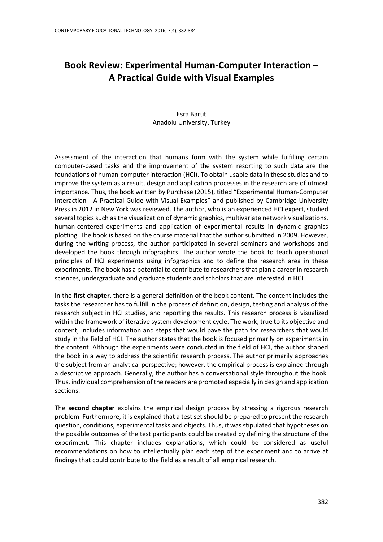## **Book Review: Experimental Human-Computer Interaction – A Practical Guide with Visual Examples**

## Esra Barut Anadolu University, Turkey

Assessment of the interaction that humans form with the system while fulfilling certain computer-based tasks and the improvement of the system resorting to such data are the foundations of human-computer interaction (HCI). To obtain usable data in these studies and to improve the system as a result, design and application processes in the research are of utmost importance. Thus, the book written by Purchase (2015), titled "Experimental Human-Computer Interaction - A Practical Guide with Visual Examples" and published by Cambridge University Press in 2012 in New York was reviewed. The author, who is an experienced HCI expert, studied several topics such as the visualization of dynamic graphics, multivariate network visualizations, human-centered experiments and application of experimental results in dynamic graphics plotting. The book is based on the course material that the author submitted in 2009. However, during the writing process, the author participated in several seminars and workshops and developed the book through infographics. The author wrote the book to teach operational principles of HCI experiments using infographics and to define the research area in these experiments. The book has a potential to contribute to researchers that plan a career in research sciences, undergraduate and graduate students and scholars that are interested in HCI.

In the **first chapter**, there is a general definition of the book content. The content includes the tasks the researcher has to fulfill in the process of definition, design, testing and analysis of the research subject in HCI studies, and reporting the results. This research process is visualized within the framework of iterative system development cycle. The work, true to its objective and content, includes information and steps that would pave the path for researchers that would study in the field of HCI. The author states that the book is focused primarily on experiments in the content. Although the experiments were conducted in the field of HCI, the author shaped the book in a way to address the scientific research process. The author primarily approaches the subject from an analytical perspective; however, the empirical process is explained through a descriptive approach. Generally, the author has a conversational style throughout the book. Thus, individual comprehension of the readers are promoted especially in design and application sections.

The **second chapter** explains the empirical design process by stressing a rigorous research problem. Furthermore, it is explained that a test set should be prepared to present the research question, conditions, experimental tasks and objects. Thus, it was stipulated that hypotheses on the possible outcomes of the test participants could be created by defining the structure of the experiment. This chapter includes explanations, which could be considered as useful recommendations on how to intellectually plan each step of the experiment and to arrive at findings that could contribute to the field as a result of all empirical research.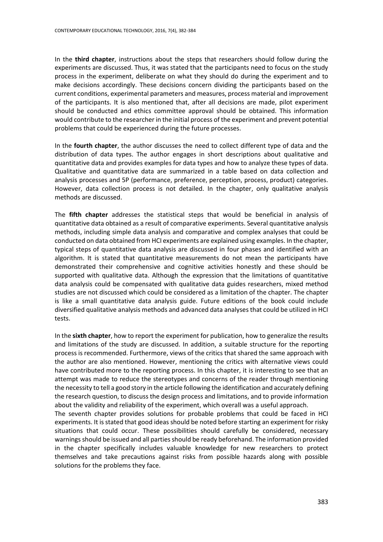In the **third chapter**, instructions about the steps that researchers should follow during the experiments are discussed. Thus, it was stated that the participants need to focus on the study process in the experiment, deliberate on what they should do during the experiment and to make decisions accordingly. These decisions concern dividing the participants based on the current conditions, experimental parameters and measures, process material and improvement of the participants. It is also mentioned that, after all decisions are made, pilot experiment should be conducted and ethics committee approval should be obtained. This information would contribute to the researcher in the initial process of the experiment and prevent potential problems that could be experienced during the future processes.

In the **fourth chapter**, the author discusses the need to collect different type of data and the distribution of data types. The author engages in short descriptions about qualitative and quantitative data and provides examples for data types and how to analyze these types of data. Qualitative and quantitative data are summarized in a table based on data collection and analysis processes and 5P (performance, preference, perception, process, product) categories. However, data collection process is not detailed. In the chapter, only qualitative analysis methods are discussed.

The **fifth chapter** addresses the statistical steps that would be beneficial in analysis of quantitative data obtained as a result of comparative experiments. Several quantitative analysis methods, including simple data analysis and comparative and complex analyses that could be conducted on data obtained from HCI experiments are explained using examples. In the chapter, typical steps of quantitative data analysis are discussed in four phases and identified with an algorithm. It is stated that quantitative measurements do not mean the participants have demonstrated their comprehensive and cognitive activities honestly and these should be supported with qualitative data. Although the expression that the limitations of quantitative data analysis could be compensated with qualitative data guides researchers, mixed method studies are not discussed which could be considered as a limitation of the chapter. The chapter is like a small quantitative data analysis guide. Future editions of the book could include diversified qualitative analysis methods and advanced data analyses that could be utilized in HCI tests.

In the **sixth chapter**, how to report the experiment for publication, how to generalize the results and limitations of the study are discussed. In addition, a suitable structure for the reporting process is recommended. Furthermore, views of the critics that shared the same approach with the author are also mentioned. However, mentioning the critics with alternative views could have contributed more to the reporting process. In this chapter, it is interesting to see that an attempt was made to reduce the stereotypes and concerns of the reader through mentioning the necessity to tell a good story in the article following the identification and accurately defining the research question, to discuss the design process and limitations, and to provide information about the validity and reliability of the experiment, which overall was a useful approach.

The seventh chapter provides solutions for probable problems that could be faced in HCI experiments. It is stated that good ideas should be noted before starting an experiment for risky situations that could occur. These possibilities should carefully be considered, necessary warnings should be issued and all parties should be ready beforehand. The information provided in the chapter specifically includes valuable knowledge for new researchers to protect themselves and take precautions against risks from possible hazards along with possible solutions for the problems they face.